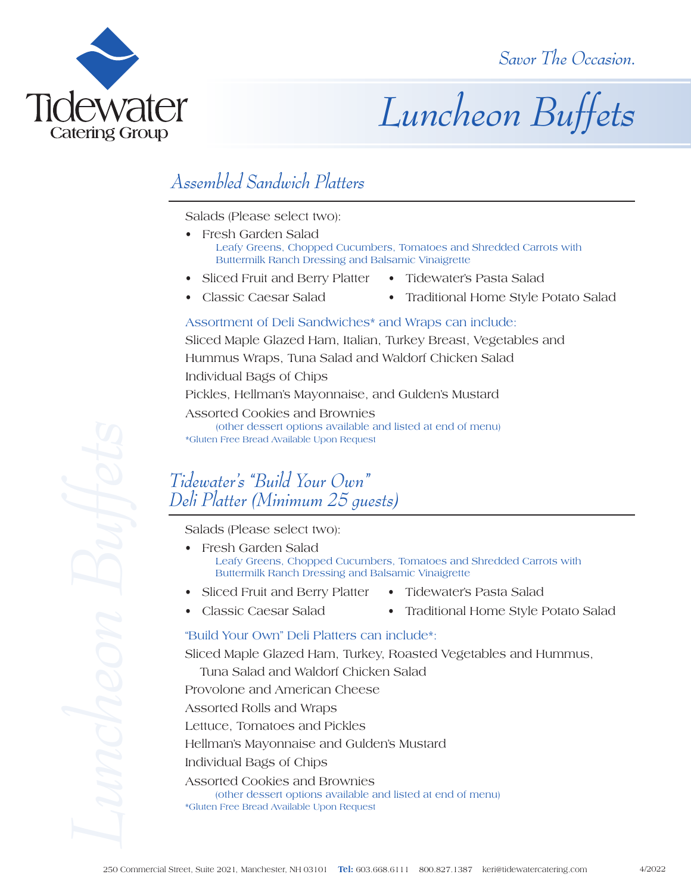

# *Luncheon Buffets*

## *Assembled Sandwich Platters*

Salads (Please select two):

- Fresh Garden Salad Leafy Greens, Chopped Cucumbers, Tomatoes and Shredded Carrots with Buttermilk Ranch Dressing and Balsamic Vinaigrette
- Sliced Fruit and Berry Platter Tidewater's Pasta Salad
- Classic Caesar Salad Traditional Home Style Potato Salad

#### Assortment of Deli Sandwiches\* and Wraps can include:

Sliced Maple Glazed Ham, Italian, Turkey Breast, Vegetables and Hummus Wraps, Tuna Salad and Waldorf Chicken Salad Individual Bags of Chips Pickles, Hellman's Mayonnaise, and Gulden's Mustard Assorted Cookies and Brownies

(other dessert options available and listed at end of menu) \*Gluten Free Bread Available Upon Request

### *Tidewater's "Build Your Own" Deli Platter (Minimum 25 guests)*

Salads (Please select two):

- Fresh Garden Salad Leafy Greens, Chopped Cucumbers, Tomatoes and Shredded Carrots with Buttermilk Ranch Dressing and Balsamic Vinaigrette
- Sliced Fruit and Berry Platter Tidewater's Pasta Salad
	-
	-
- 
- Classic Caesar Salad Traditional Home Style Potato Salad

#### "Build Your Own" Deli Platters can include\*:

Sliced Maple Glazed Ham, Turkey, Roasted Vegetables and Hummus, Tuna Salad and Waldorf Chicken Salad

Provolone and American Cheese

Assorted Rolls and Wraps

Lettuce, Tomatoes and Pickles

Hellman's Mayonnaise and Gulden's Mustard

Individual Bags of Chips

Assorted Cookies and Brownies (other dessert options available and listed at end of menu) \*Gluten Free Bread Available Upon Request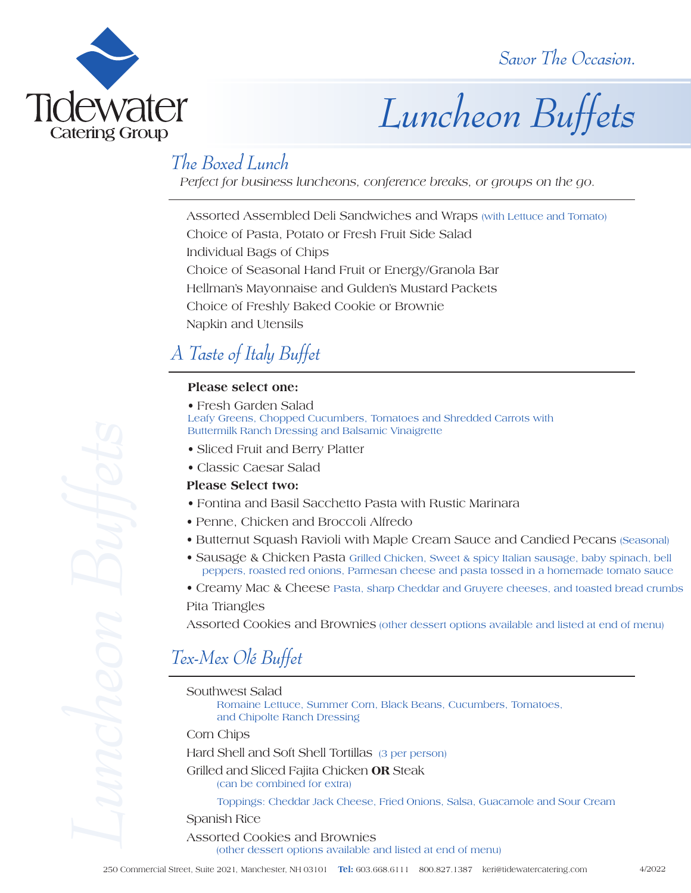

# *Luncheon Buffets*

### *The Boxed Lunch*

*Perfect for business luncheons, conference breaks, or groups on the go.*

Assorted Assembled Deli Sandwiches and Wraps (with Lettuce and Tomato) Choice of Pasta, Potato or Fresh Fruit Side Salad Individual Bags of Chips Choice of Seasonal Hand Fruit or Energy/Granola Bar Hellman's Mayonnaise and Gulden's Mustard Packets Choice of Freshly Baked Cookie or Brownie Napkin and Utensils

## *A Taste of Italy Buffet*

#### **Please select one:**

• Fresh Garden Salad

Leafy Greens, Chopped Cucumbers, Tomatoes and Shredded Carrots with Buttermilk Ranch Dressing and Balsamic Vinaigrette

- Sliced Fruit and Berry Platter
- Classic Caesar Salad

#### **Please Select two:**

- Fontina and Basil Sacchetto Pasta with Rustic Marinara
- Penne, Chicken and Broccoli Alfredo
- Butternut Squash Ravioli with Maple Cream Sauce and Candied Pecans (Seasonal)
- Sausage & Chicken Pasta Grilled Chicken, Sweet & spicy Italian sausage, baby spinach, bell peppers, roasted red onions, Parmesan cheese and pasta tossed in a homemade tomato sauce
- Creamy Mac & Cheese Pasta, sharp Cheddar and Gruyere cheeses, and toasted bread crumbs

#### Pita Triangles

Assorted Cookies and Brownies (other dessert options available and listed at end of menu)

## *Tex-Mex Olé Buffet*

Southwest Salad

Romaine Lettuce, Summer Corn, Black Beans, Cucumbers, Tomatoes, and Chipolte Ranch Dressing

Corn Chips

Hard Shell and Soft Shell Tortillas (3 per person)

Grilled and Sliced Fajita Chicken **OR** Steak (can be combined for extra)

Toppings: Cheddar Jack Cheese, Fried Onions, Salsa, Guacamole and Sour Cream

Spanish Rice

Assorted Cookies and Brownies (other dessert options available and listed at end of menu)

4/2022

250 Commercial Street, Suite 2021, Manchester, Suite 2021, Manchester, Suite 2021, Manchester, The Commercial Street, Suite 2021, Manchester, Alexander Complete 2021, Manchester, Alexander Cheme, Chicken Public Street, The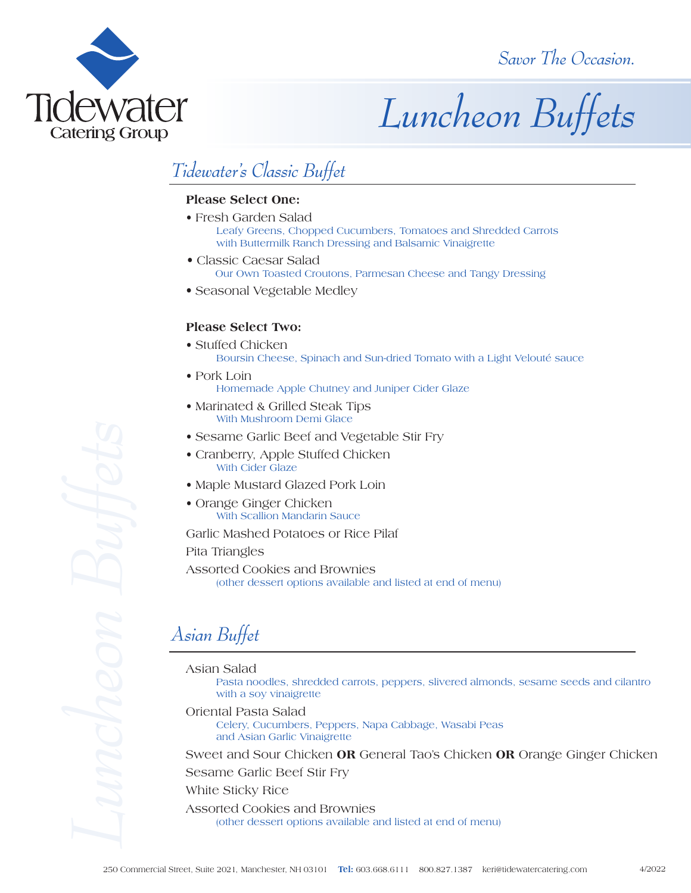

# *Luncheon Buffets*

## *Tidewater's Classic Buffet*

#### **Please Select One:**

- Fresh Garden Salad Leafy Greens, Chopped Cucumbers, Tomatoes and Shredded Carrots with Buttermilk Ranch Dressing and Balsamic Vinaigrette
- Classic Caesar Salad Our Own Toasted Croutons, Parmesan Cheese and Tangy Dressing
- Seasonal Vegetable Medley

#### **Please Select Two:**

- Stuffed Chicken Boursin Cheese, Spinach and Sun-dried Tomato with a Light Velouté sauce
- Pork Loin Homemade Apple Chutney and Juniper Cider Glaze
- Marinated & Grilled Steak Tips With Mushroom Demi Glace
- Sesame Garlic Beef and Vegetable Stir Fry
- Cranberry, Apple Stuffed Chicken With Cider Glaze
- Maple Mustard Glazed Pork Loin
- Orange Ginger Chicken With Scallion Mandarin Sauce

Garlic Mashed Potatoes or Rice Pilaf

Pita Triangles

Assorted Cookies and Brownies (other dessert options available and listed at end of menu)

## *Asian Buffet*

- Asian Salad
	- Pasta noodles, shredded carrots, peppers, slivered almonds, sesame seeds and cilantro with a soy vinaigrette

Oriental Pasta Salad

Celery, Cucumbers, Peppers, Napa Cabbage, Wasabi Peas and Asian Garlic Vinaigrette

Sweet and Sour Chicken **OR** General Tao's Chicken **OR** Orange Ginger Chicken

Sesame Garlic Beef Stir Fry

#### White Sticky Rice

Assorted Cookies and Brownies (other dessert options available and listed at end of menu)

**250 Completes** Completes 2021, Manchester, New Complete 2021, Manchester, Suite 2021, Manchester, NH 03101 Manchester, Suite 2021, Manchester, New Telester, Outcomes 2021, Manchester, Suite 2021, Manchester, New Yorking 2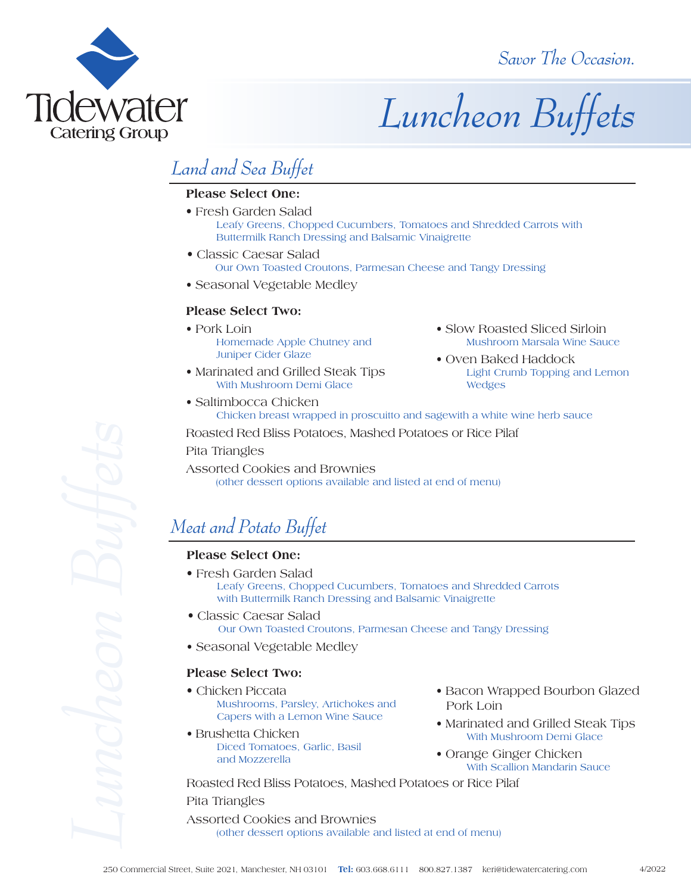

# *Luncheon Buffets*

## *Land and Sea Buffet*

#### **Please Select One:**

- Fresh Garden Salad Leafy Greens, Chopped Cucumbers, Tomatoes and Shredded Carrots with Buttermilk Ranch Dressing and Balsamic Vinaigrette
- Classic Caesar Salad Our Own Toasted Croutons, Parmesan Cheese and Tangy Dressing
- Seasonal Vegetable Medley

#### **Please Select Two:**

- Pork Loin Homemade Apple Chutney and Juniper Cider Glaze
- Marinated and Grilled Steak Tips With Mushroom Demi Glace
- Slow Roasted Sliced Sirloin Mushroom Marsala Wine Sauce
- Oven Baked Haddock Light Crumb Topping and Lemon Wedges
- Saltimbocca Chicken Chicken breast wrapped in proscuitto and sagewith a white wine herb sauce

Roasted Red Bliss Potatoes, Mashed Potatoes or Rice Pilaf

Pita Triangles

Assorted Cookies and Brownies (other dessert options available and listed at end of menu)

## *Meat and Potato Buffet*

#### **Please Select One:**

- Fresh Garden Salad Leafy Greens, Chopped Cucumbers, Tomatoes and Shredded Carrots with Buttermilk Ranch Dressing and Balsamic Vinaigrette 22 Commercial Street, Suite 2021, Manchester, Suite 2021, Manchester, Suite 2021, Manchester, Suite 2021, Manchester, American Commercial Street, Suite 2021, The Commercial Street, Commercial Commercial Commercial Commerc
	- Classic Caesar Salad Our Own Toasted Croutons, Parmesan Cheese and Tangy Dressing
	- Seasonal Vegetable Medley

#### **Please Select Two:**

- Chicken Piccata Mushrooms, Parsley, Artichokes and Capers with a Lemon Wine Sauce
- Brushetta Chicken Diced Tomatoes, Garlic, Basil and Mozzerella
- Bacon Wrapped Bourbon Glazed Pork Loin
- Marinated and Grilled Steak Tips With Mushroom Demi Glace
- Orange Ginger Chicken With Scallion Mandarin Sauce

Roasted Red Bliss Potatoes, Mashed Potatoes or Rice Pilaf

Pita Triangles

Assorted Cookies and Brownies (other dessert options available and listed at end of menu)